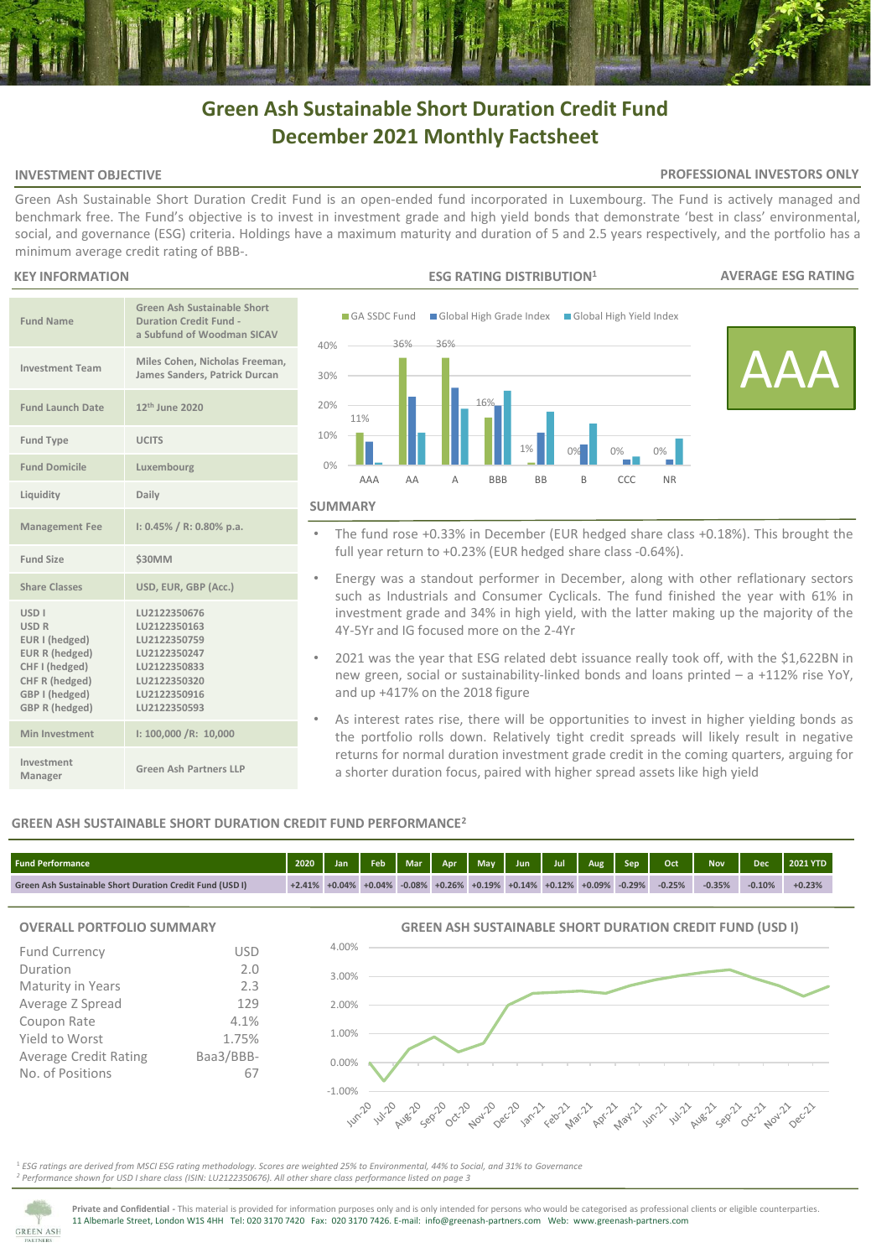# **Green Ash Sustainable Short Duration Credit Fund December 2021 Monthly Factsheet**

### **INVESTMENT OBJECTIVE**

### **PROFESSIONAL INVESTORS ONLY**

Green Ash Sustainable Short Duration Credit Fund is an open-ended fund incorporated in Luxembourg. The Fund is actively managed and benchmark free. The Fund's objective is to invest in investment grade and high yield bonds that demonstrate 'best in class' environmental, social, and governance (ESG) criteria. Holdings have a maximum maturity and duration of 5 and 2.5 years respectively, and the portfolio has a minimum average credit rating of BBB-.

### **KEY INFORMATION**

| <b>Fund Name</b>                                                                                                                                    | Green Ash Sustainable Short<br><b>Duration Credit Fund -</b><br>a Subfund of Woodman SICAV                                   |
|-----------------------------------------------------------------------------------------------------------------------------------------------------|------------------------------------------------------------------------------------------------------------------------------|
| <b>Investment Team</b>                                                                                                                              | Miles Cohen, Nicholas Freeman,<br>James Sanders, Patrick Durcan                                                              |
| <b>Fund Launch Date</b>                                                                                                                             | 12 <sup>th</sup> June 2020                                                                                                   |
| <b>Fund Type</b>                                                                                                                                    | <b>UCITS</b>                                                                                                                 |
| <b>Fund Domicile</b>                                                                                                                                | Luxembourg                                                                                                                   |
| Liquidity                                                                                                                                           | Daily                                                                                                                        |
| <b>Management Fee</b>                                                                                                                               | $1: 0.45\% / R: 0.80\%$ p.a.                                                                                                 |
| <b>Fund Size</b>                                                                                                                                    | <b>\$30MM</b>                                                                                                                |
| <b>Share Classes</b>                                                                                                                                | USD, EUR, GBP (Acc.)                                                                                                         |
| USD <sub>I</sub><br><b>USD R</b><br>EUR I (hedged)<br>EUR R (hedged)<br>CHF I (hedged)<br>CHF R (hedged)<br>GBP I (hedged)<br><b>GBP R (hedged)</b> | LU2122350676<br>LU2122350163<br>LU2122350759<br>LU2122350247<br>LU2122350833<br>LU2122350320<br>LU2122350916<br>LU2122350593 |
| Min Investment                                                                                                                                      | 1: 100,000 / R: 10,000                                                                                                       |
| Investment<br>Manager                                                                                                                               | Green Ash Partners LLP                                                                                                       |



- The fund rose +0.33% in December (EUR hedged share class +0.18%). This brought the full year return to +0.23% (EUR hedged share class -0.64%).
- Energy was a standout performer in December, along with other reflationary sectors such as Industrials and Consumer Cyclicals. The fund finished the year with 61% in investment grade and 34% in high yield, with the latter making up the majority of the 4Y-5Yr and IG focused more on the 2-4Yr
- 2021 was the year that ESG related debt issuance really took off, with the \$1,622BN in new green, social or sustainability-linked bonds and loans printed – a +112% rise YoY, and up +417% on the 2018 figure
- As interest rates rise, there will be opportunities to invest in higher yielding bonds as the portfolio rolls down. Relatively tight credit spreads will likely result in negative returns for normal duration investment grade credit in the coming quarters, arguing for a shorter duration focus, paired with higher spread assets like high yield

### **GREEN ASH SUSTAINABLE SHORT DURATION CREDIT FUND PERFORMANCE<sup>2</sup>**

| <b>Fund Performance</b>                                  | 2020 | Jan | Feb                       |  |  | $\left  \right $ Mar $\left  \right $ Apr $\left  \right $ May $\left  \right $ Jun $\left  \right $ Jul $\left  \right $ Aug $\left  \right $ Sep $\left  \right $ | Oct 2    | <b>Nov</b> | <b>Dec</b> | 2021 YTD |
|----------------------------------------------------------|------|-----|---------------------------|--|--|---------------------------------------------------------------------------------------------------------------------------------------------------------------------|----------|------------|------------|----------|
| Green Ash Sustainable Short Duration Credit Fund (USD I) |      |     | $+2.41\% +0.04\% +0.04\%$ |  |  | $\sqrt{-0.08\%}$ +0.26% +0.19% +0.14% +0.12% +0.09% -0.29%                                                                                                          | $-0.25%$ | $-0.35%$   | $-0.10%$   | $+0.23%$ |

### **OVERALL PORTFOLIO SUMMARY**

| <b>Fund Currency</b>         | USD       |
|------------------------------|-----------|
| Duration                     | 2.0       |
| Maturity in Years            | 2.3       |
| Average Z Spread             | 129       |
| Coupon Rate                  | 4.1%      |
| Yield to Worst               | 1.75%     |
| <b>Average Credit Rating</b> | Baa3/BBB- |
| No. of Positions             |           |
|                              |           |

## **GREEN ASH SUSTAINABLE SHORT DURATION CREDIT FUND (USD I)**



<sup>1</sup> *ESG ratings are derived from MSCI ESG rating methodology. Scores are weighted 25% to Environmental, 44% to Social, and 31% to Governance <sup>2</sup> Performance shown for USD I share class (ISIN: LU2122350676). All other share class performance listed on page 3* 

4.00%



**Private and Confidential -** This material is provided for information purposes only and is only intended for persons who would be categorised as professional clients or eligible counterparties. 11 Albemarle Street, London W1S 4HH Tel: 020 3170 7420 Fax: 020 3170 7426. E-mail: info@greenash-partners.com Web: www.greenash-partners.com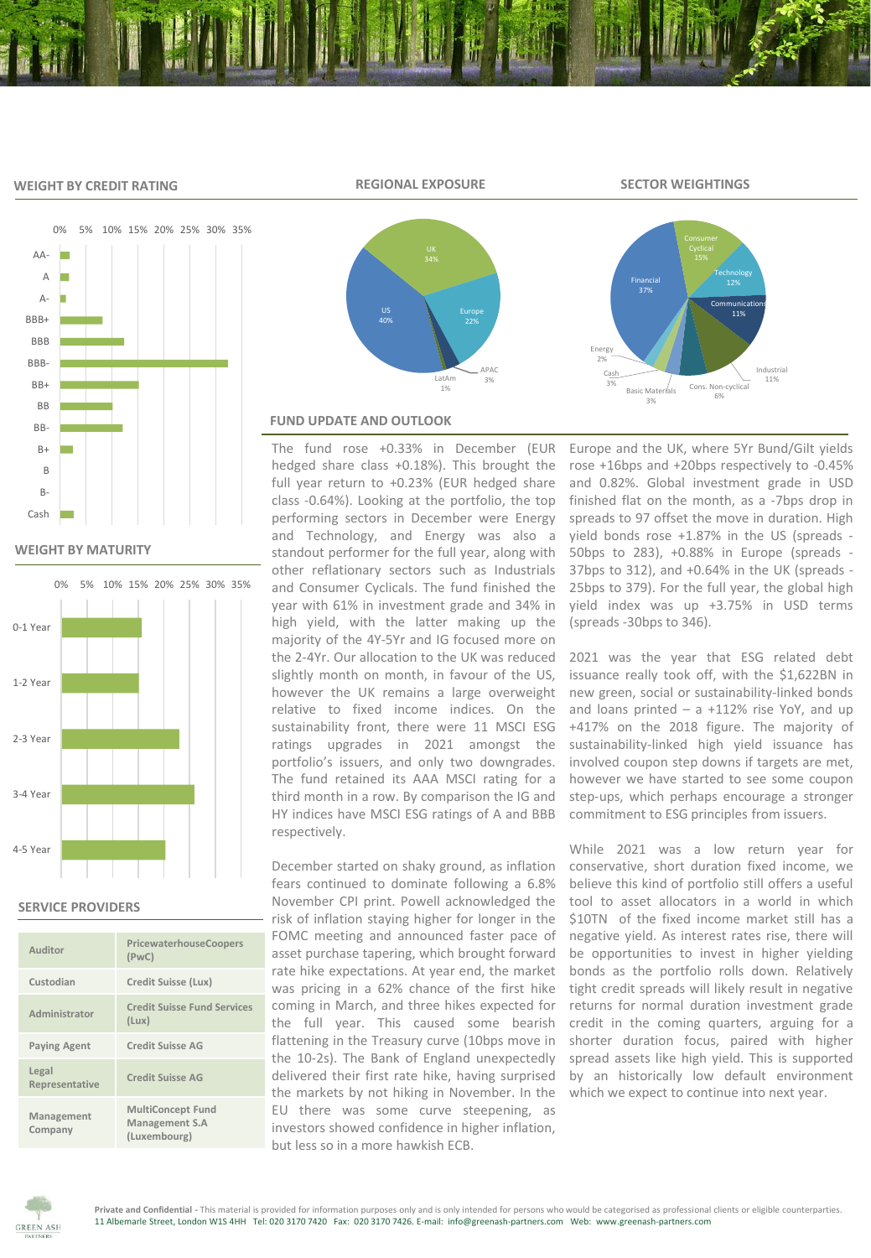### **WEIGHT BY CREDIT RATING**





### **WEIGHT BY MATURITY**



### **SERVICE PROVIDERS**

| Auditor                 | PricewaterhouseCoopers<br>(PWC)                            |
|-------------------------|------------------------------------------------------------|
| Custodian               | Credit Suisse (Lux)                                        |
| Administrator           | <b>Credit Suisse Fund Services</b><br>(Lux)                |
| <b>Paying Agent</b>     | Credit Suisse AG                                           |
| Legal<br>Representative | <b>Credit Suisse AG</b>                                    |
| Management<br>Company   | <b>MultiConcept Fund</b><br>Management S.A<br>(Luxembourg) |





### **FUND UPDATE AND OUTLOOK**

The fund rose +0.33% in December (EUR hedged share class +0.18%). This brought the full year return to +0.23% (EUR hedged share class -0.64%). Looking at the portfolio, the top performing sectors in December were Energy and Technology, and Energy was also a standout performer for the full year, along with other reflationary sectors such as Industrials and Consumer Cyclicals. The fund finished the year with 61% in investment grade and 34% in high yield, with the latter making up the majority of the 4Y-5Yr and IG focused more on the 2-4Yr. Our allocation to the UK was reduced slightly month on month, in favour of the US, however the UK remains a large overweight relative to fixed income indices. On the sustainability front, there were 11 MSCI ESG ratings upgrades in 2021 amongst the portfolio's issuers, and only two downgrades. The fund retained its AAA MSCI rating for a third month in a row. By comparison the IG and HY indices have MSCI ESG ratings of A and BBB respectively.

December started on shaky ground, as inflation fears continued to dominate following a 6.8% November CPI print. Powell acknowledged the risk of inflation staying higher for longer in the FOMC meeting and announced faster pace of asset purchase tapering, which brought forward rate hike expectations. At year end, the market was pricing in a 62% chance of the first hike coming in March, and three hikes expected for the full year. This caused some bearish flattening in the Treasury curve (10bps move in the 10-2s). The Bank of England unexpectedly delivered their first rate hike, having surprised the markets by not hiking in November. In the EU there was some curve steepening, as investors showed confidence in higher inflation, but less so in a more hawkish ECB.

Europe and the UK, where 5Yr Bund/Gilt yields rose +16bps and +20bps respectively to -0.45% and 0.82%. Global investment grade in USD finished flat on the month, as a -7bps drop in spreads to 97 offset the move in duration. High yield bonds rose +1.87% in the US (spreads - 50bps to 283), +0.88% in Europe (spreads - 37bps to 312), and +0.64% in the UK (spreads - 25bps to 379). For the full year, the global high yield index was up +3.75% in USD terms (spreads -30bps to 346).

2021 was the year that ESG related debt issuance really took off, with the \$1,622BN in new green, social or sustainability-linked bonds and loans printed  $-$  a  $+112\%$  rise YoY, and up +417% on the 2018 figure. The majority of sustainability-linked high yield issuance has involved coupon step downs if targets are met, however we have started to see some coupon step-ups, which perhaps encourage a stronger commitment to ESG principles from issuers.

While 2021 was a low return year for conservative, short duration fixed income, we believe this kind of portfolio still offers a useful tool to asset allocators in a world in which \$10TN of the fixed income market still has a negative yield. As interest rates rise, there will be opportunities to invest in higher yielding bonds as the portfolio rolls down. Relatively tight credit spreads will likely result in negative returns for normal duration investment grade credit in the coming quarters, arguing for a shorter duration focus, paired with higher spread assets like high yield. This is supported by an historically low default environment which we expect to continue into next year.